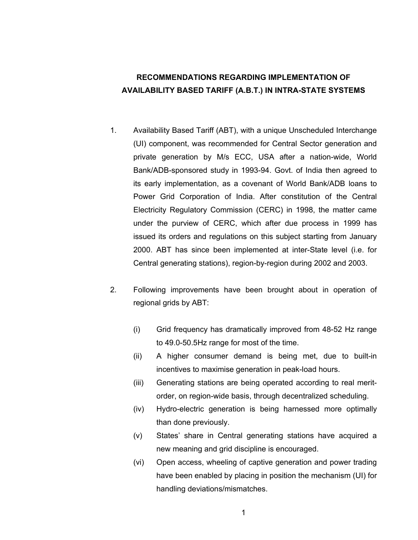# **RECOMMENDATIONS REGARDING IMPLEMENTATION OF AVAILABILITY BASED TARIFF (A.B.T.) IN INTRA-STATE SYSTEMS**

- 1. Availability Based Tariff (ABT), with a unique Unscheduled Interchange (UI) component, was recommended for Central Sector generation and private generation by M/s ECC, USA after a nation-wide, World Bank/ADB-sponsored study in 1993-94. Govt. of India then agreed to its early implementation, as a covenant of World Bank/ADB loans to Power Grid Corporation of India. After constitution of the Central Electricity Regulatory Commission (CERC) in 1998, the matter came under the purview of CERC, which after due process in 1999 has issued its orders and regulations on this subject starting from January 2000. ABT has since been implemented at inter-State level (i.e. for Central generating stations), region-by-region during 2002 and 2003.
- 2. Following improvements have been brought about in operation of regional grids by ABT:
	- (i) Grid frequency has dramatically improved from 48-52 Hz range to 49.0-50.5Hz range for most of the time.
	- (ii) A higher consumer demand is being met, due to built-in incentives to maximise generation in peak-load hours.
	- (iii) Generating stations are being operated according to real meritorder, on region-wide basis, through decentralized scheduling.
	- (iv) Hydro-electric generation is being harnessed more optimally than done previously.
	- (v) States' share in Central generating stations have acquired a new meaning and grid discipline is encouraged.
	- (vi) Open access, wheeling of captive generation and power trading have been enabled by placing in position the mechanism (UI) for handling deviations/mismatches.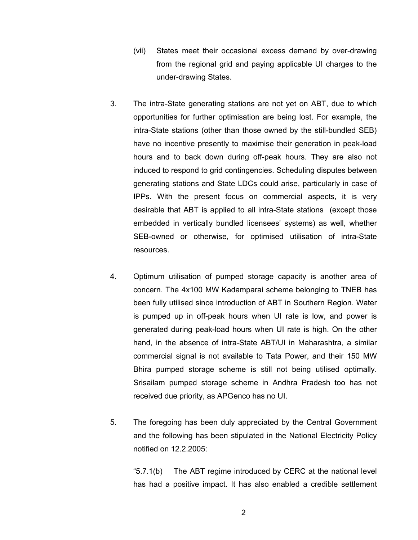- (vii) States meet their occasional excess demand by over-drawing from the regional grid and paying applicable UI charges to the under-drawing States.
- 3. The intra-State generating stations are not yet on ABT, due to which opportunities for further optimisation are being lost. For example, the intra-State stations (other than those owned by the still-bundled SEB) have no incentive presently to maximise their generation in peak-load hours and to back down during off-peak hours. They are also not induced to respond to grid contingencies. Scheduling disputes between generating stations and State LDCs could arise, particularly in case of IPPs. With the present focus on commercial aspects, it is very desirable that ABT is applied to all intra-State stations (except those embedded in vertically bundled licensees' systems) as well, whether SEB-owned or otherwise, for optimised utilisation of intra-State resources.
- 4. Optimum utilisation of pumped storage capacity is another area of concern. The 4x100 MW Kadamparai scheme belonging to TNEB has been fully utilised since introduction of ABT in Southern Region. Water is pumped up in off-peak hours when UI rate is low, and power is generated during peak-load hours when UI rate is high. On the other hand, in the absence of intra-State ABT/UI in Maharashtra, a similar commercial signal is not available to Tata Power, and their 150 MW Bhira pumped storage scheme is still not being utilised optimally. Srisailam pumped storage scheme in Andhra Pradesh too has not received due priority, as APGenco has no UI.
- 5. The foregoing has been duly appreciated by the Central Government and the following has been stipulated in the National Electricity Policy notified on 12.2.2005:

"5.7.1(b) The ABT regime introduced by CERC at the national level has had a positive impact. It has also enabled a credible settlement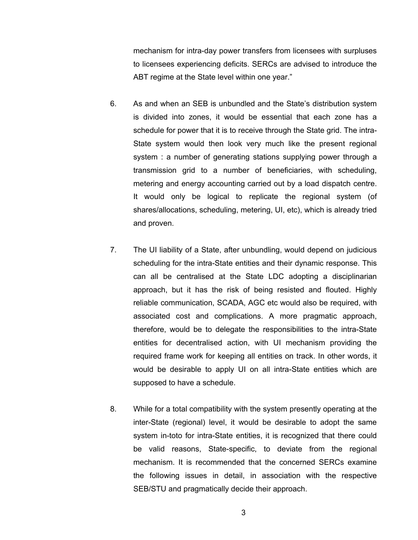mechanism for intra-day power transfers from licensees with surpluses to licensees experiencing deficits. SERCs are advised to introduce the ABT regime at the State level within one year."

- 6. As and when an SEB is unbundled and the State's distribution system is divided into zones, it would be essential that each zone has a schedule for power that it is to receive through the State grid. The intra-State system would then look very much like the present regional system : a number of generating stations supplying power through a transmission grid to a number of beneficiaries, with scheduling, metering and energy accounting carried out by a load dispatch centre. It would only be logical to replicate the regional system (of shares/allocations, scheduling, metering, UI, etc), which is already tried and proven.
- 7. The UI liability of a State, after unbundling, would depend on judicious scheduling for the intra-State entities and their dynamic response. This can all be centralised at the State LDC adopting a disciplinarian approach, but it has the risk of being resisted and flouted. Highly reliable communication, SCADA, AGC etc would also be required, with associated cost and complications. A more pragmatic approach, therefore, would be to delegate the responsibilities to the intra-State entities for decentralised action, with UI mechanism providing the required frame work for keeping all entities on track. In other words, it would be desirable to apply UI on all intra-State entities which are supposed to have a schedule.
- 8. While for a total compatibility with the system presently operating at the inter-State (regional) level, it would be desirable to adopt the same system in-toto for intra-State entities, it is recognized that there could be valid reasons, State-specific, to deviate from the regional mechanism. It is recommended that the concerned SERCs examine the following issues in detail, in association with the respective SEB/STU and pragmatically decide their approach.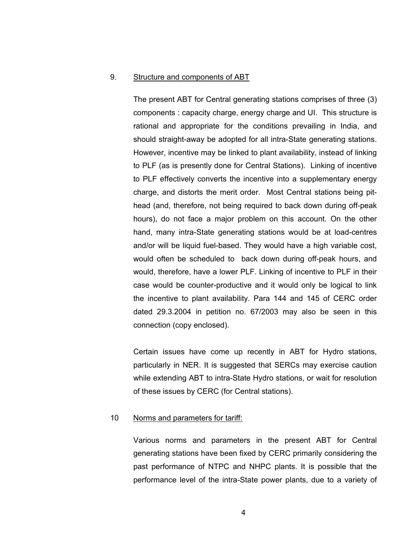#### 9. Structure and components of ABT

The present ABT for Central generating stations comprises of three (3) components : capacity charge, energy charge and UI. This structure is rational and appropriate for the conditions prevailing in India, and should straight-away be adopted for all intra-State generating stations. However, incentive may be linked to plant availability, instead of linking to PLF (as is presently done for Central Stations). Linking of incentive to PLF effectively converts the incentive into a supplementary energy charge, and distorts the merit order. Most Central stations being pithead (and, therefore, not being required to back down during off-peak hours), do not face a major problem on this account. On the other hand, many intra-State generating stations would be at load-centres and/or will be liquid fuel-based. They would have a high variable cost, would often be scheduled to back down during off-peak hours, and would, therefore, have a lower PLF. Linking of incentive to PLF in their case would be counter-productive and it would only be logical to link the incentive to plant availability. Para 144 and 145 of CERC order dated 29.3.2004 in petition no. 67/2003 may also be seen in this connection (copy enclosed).

Certain issues have come up recently in ABT for Hydro stations, particularly in NER. It is suggested that SERCs may exercise caution while extending ABT to intra-State Hydro stations, or wait for resolution of these issues by CERC (for Central stations).

### 10 Norms and parameters for tariff:

Various norms and parameters in the present ABT for Central generating stations have been fixed by CERC primarily considering the past performance of NTPC and NHPC plants. It is possible that the performance level of the intra-State power plants, due to a variety of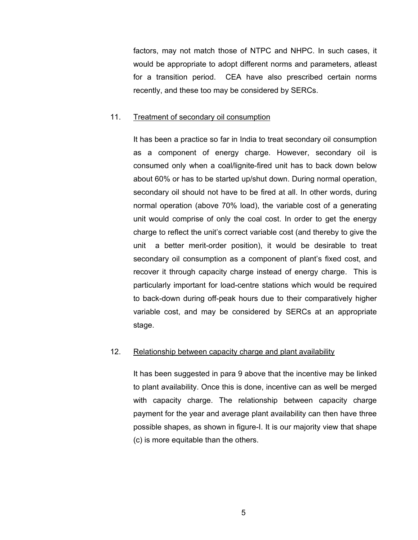factors, may not match those of NTPC and NHPC. In such cases, it would be appropriate to adopt different norms and parameters, atleast for a transition period. CEA have also prescribed certain norms recently, and these too may be considered by SERCs.

#### 11. Treatment of secondary oil consumption

It has been a practice so far in India to treat secondary oil consumption as a component of energy charge. However, secondary oil is consumed only when a coal/lignite-fired unit has to back down below about 60% or has to be started up/shut down. During normal operation, secondary oil should not have to be fired at all. In other words, during normal operation (above 70% load), the variable cost of a generating unit would comprise of only the coal cost. In order to get the energy charge to reflect the unit's correct variable cost (and thereby to give the unit a better merit-order position), it would be desirable to treat secondary oil consumption as a component of plant's fixed cost, and recover it through capacity charge instead of energy charge. This is particularly important for load-centre stations which would be required to back-down during off-peak hours due to their comparatively higher variable cost, and may be considered by SERCs at an appropriate stage.

## 12. Relationship between capacity charge and plant availability

It has been suggested in para 9 above that the incentive may be linked to plant availability. Once this is done, incentive can as well be merged with capacity charge. The relationship between capacity charge payment for the year and average plant availability can then have three possible shapes, as shown in figure-I. It is our majority view that shape (c) is more equitable than the others.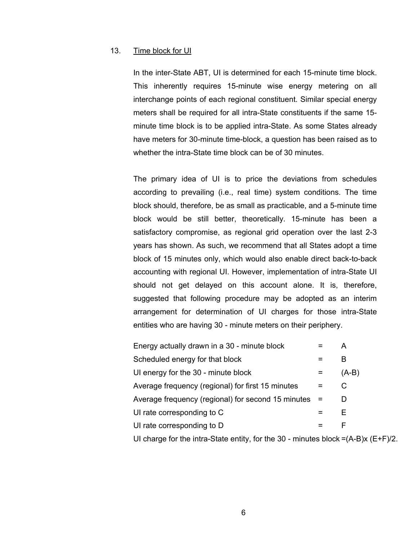# 13. Time block for UI

In the inter-State ABT, UI is determined for each 15-minute time block. This inherently requires 15-minute wise energy metering on all interchange points of each regional constituent. Similar special energy meters shall be required for all intra-State constituents if the same 15 minute time block is to be applied intra-State. As some States already have meters for 30-minute time-block, a question has been raised as to whether the intra-State time block can be of 30 minutes.

The primary idea of UI is to price the deviations from schedules according to prevailing (i.e., real time) system conditions. The time block should, therefore, be as small as practicable, and a 5-minute time block would be still better, theoretically. 15-minute has been a satisfactory compromise, as regional grid operation over the last 2-3 years has shown. As such, we recommend that all States adopt a time block of 15 minutes only, which would also enable direct back-to-back accounting with regional UI. However, implementation of intra-State UI should not get delayed on this account alone. It is, therefore, suggested that following procedure may be adopted as an interim arrangement for determination of UI charges for those intra-State entities who are having 30 - minute meters on their periphery.

| Energy actually drawn in a 30 - minute block       | А       |
|----------------------------------------------------|---------|
| Scheduled energy for that block                    | В       |
| UI energy for the 30 - minute block                | $(A-B)$ |
| Average frequency (regional) for first 15 minutes  | C.      |
| Average frequency (regional) for second 15 minutes |         |
| UI rate corresponding to C                         | F       |
| UI rate corresponding to D                         | F       |
|                                                    |         |

UI charge for the intra-State entity, for the 30 - minutes block  $=(A-B)x (E+F)/2$ .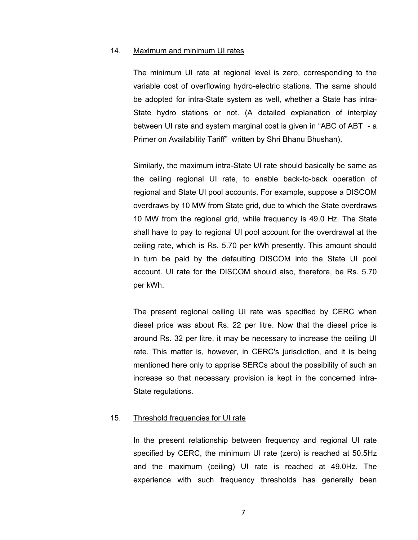### 14. Maximum and minimum UI rates

The minimum UI rate at regional level is zero, corresponding to the variable cost of overflowing hydro-electric stations. The same should be adopted for intra-State system as well, whether a State has intra-State hydro stations or not. (A detailed explanation of interplay between UI rate and system marginal cost is given in "ABC of ABT - a Primer on Availability Tariff" written by Shri Bhanu Bhushan).

Similarly, the maximum intra-State UI rate should basically be same as the ceiling regional UI rate, to enable back-to-back operation of regional and State UI pool accounts. For example, suppose a DISCOM overdraws by 10 MW from State grid, due to which the State overdraws 10 MW from the regional grid, while frequency is 49.0 Hz. The State shall have to pay to regional UI pool account for the overdrawal at the ceiling rate, which is Rs. 5.70 per kWh presently. This amount should in turn be paid by the defaulting DISCOM into the State UI pool account. UI rate for the DISCOM should also, therefore, be Rs. 5.70 per kWh.

The present regional ceiling UI rate was specified by CERC when diesel price was about Rs. 22 per litre. Now that the diesel price is around Rs. 32 per litre, it may be necessary to increase the ceiling UI rate. This matter is, however, in CERC's jurisdiction, and it is being mentioned here only to apprise SERCs about the possibility of such an increase so that necessary provision is kept in the concerned intra-State regulations.

#### 15. Threshold frequencies for UI rate

In the present relationship between frequency and regional UI rate specified by CERC, the minimum UI rate (zero) is reached at 50.5Hz and the maximum (ceiling) UI rate is reached at 49.0Hz. The experience with such frequency thresholds has generally been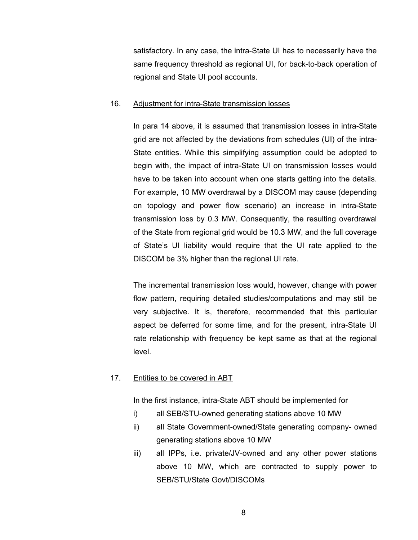satisfactory. In any case, the intra-State UI has to necessarily have the same frequency threshold as regional UI, for back-to-back operation of regional and State UI pool accounts.

## 16. Adjustment for intra-State transmission losses

In para 14 above, it is assumed that transmission losses in intra-State grid are not affected by the deviations from schedules (UI) of the intra-State entities. While this simplifying assumption could be adopted to begin with, the impact of intra-State UI on transmission losses would have to be taken into account when one starts getting into the details. For example, 10 MW overdrawal by a DISCOM may cause (depending on topology and power flow scenario) an increase in intra-State transmission loss by 0.3 MW. Consequently, the resulting overdrawal of the State from regional grid would be 10.3 MW, and the full coverage of State's UI liability would require that the UI rate applied to the DISCOM be 3% higher than the regional UI rate.

The incremental transmission loss would, however, change with power flow pattern, requiring detailed studies/computations and may still be very subjective. It is, therefore, recommended that this particular aspect be deferred for some time, and for the present, intra-State UI rate relationship with frequency be kept same as that at the regional level.

# 17. Entities to be covered in ABT

In the first instance, intra-State ABT should be implemented for

- i) all SEB/STU-owned generating stations above 10 MW
- ii) all State Government-owned/State generating company- owned generating stations above 10 MW
- iii) all IPPs, i.e. private/JV-owned and any other power stations above 10 MW, which are contracted to supply power to SEB/STU/State Govt/DISCOMs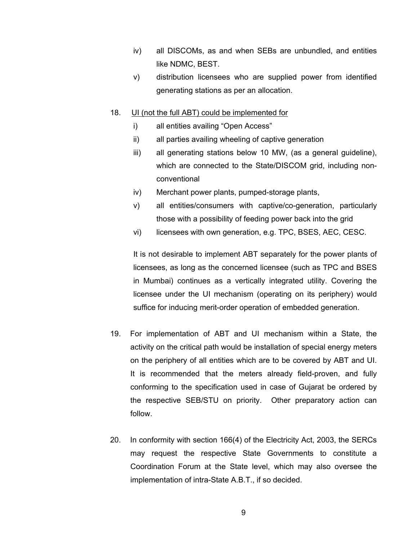- iv) all DISCOMs, as and when SEBs are unbundled, and entities like NDMC, BEST.
- v) distribution licensees who are supplied power from identified generating stations as per an allocation.

# 18. UI (not the full ABT) could be implemented for

- i) all entities availing "Open Access"
- ii) all parties availing wheeling of captive generation
- iii) all generating stations below 10 MW, (as a general guideline), which are connected to the State/DISCOM grid, including nonconventional
- iv) Merchant power plants, pumped-storage plants,
- v) all entities/consumers with captive/co-generation, particularly those with a possibility of feeding power back into the grid
- vi) licensees with own generation, e.g. TPC, BSES, AEC, CESC.

It is not desirable to implement ABT separately for the power plants of licensees, as long as the concerned licensee (such as TPC and BSES in Mumbai) continues as a vertically integrated utility. Covering the licensee under the UI mechanism (operating on its periphery) would suffice for inducing merit-order operation of embedded generation.

- 19. For implementation of ABT and UI mechanism within a State, the activity on the critical path would be installation of special energy meters on the periphery of all entities which are to be covered by ABT and UI. It is recommended that the meters already field-proven, and fully conforming to the specification used in case of Gujarat be ordered by the respective SEB/STU on priority. Other preparatory action can follow.
- 20. In conformity with section 166(4) of the Electricity Act, 2003, the SERCs may request the respective State Governments to constitute a Coordination Forum at the State level, which may also oversee the implementation of intra-State A.B.T., if so decided.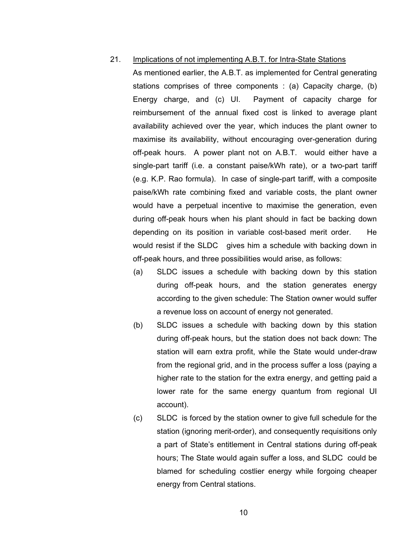## 21. Implications of not implementing A.B.T. for Intra-State Stations

As mentioned earlier, the A.B.T. as implemented for Central generating stations comprises of three components : (a) Capacity charge, (b) Energy charge, and (c) UI. Payment of capacity charge for reimbursement of the annual fixed cost is linked to average plant availability achieved over the year, which induces the plant owner to maximise its availability, without encouraging over-generation during off-peak hours. A power plant not on A.B.T. would either have a single-part tariff (i.e. a constant paise/kWh rate), or a two-part tariff (e.g. K.P. Rao formula). In case of single-part tariff, with a composite paise/kWh rate combining fixed and variable costs, the plant owner would have a perpetual incentive to maximise the generation, even during off-peak hours when his plant should in fact be backing down depending on its position in variable cost-based merit order. He would resist if the SLDC gives him a schedule with backing down in off-peak hours, and three possibilities would arise, as follows:

- (a) SLDC issues a schedule with backing down by this station during off-peak hours, and the station generates energy according to the given schedule: The Station owner would suffer a revenue loss on account of energy not generated.
- (b) SLDC issues a schedule with backing down by this station during off-peak hours, but the station does not back down: The station will earn extra profit, while the State would under-draw from the regional grid, and in the process suffer a loss (paying a higher rate to the station for the extra energy, and getting paid a lower rate for the same energy quantum from regional UI account).
- (c) SLDC is forced by the station owner to give full schedule for the station (ignoring merit-order), and consequently requisitions only a part of State's entitlement in Central stations during off-peak hours; The State would again suffer a loss, and SLDC could be blamed for scheduling costlier energy while forgoing cheaper energy from Central stations.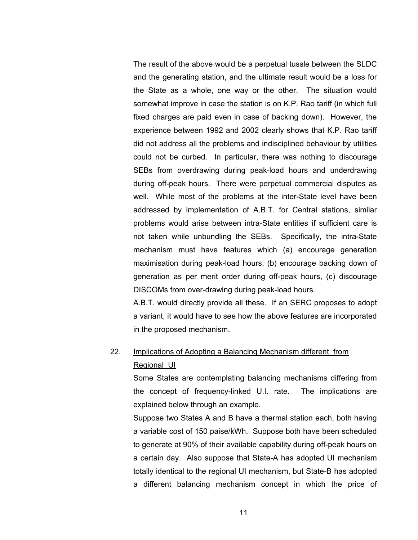The result of the above would be a perpetual tussle between the SLDC and the generating station, and the ultimate result would be a loss for the State as a whole, one way or the other. The situation would somewhat improve in case the station is on K.P. Rao tariff (in which full fixed charges are paid even in case of backing down). However, the experience between 1992 and 2002 clearly shows that K.P. Rao tariff did not address all the problems and indisciplined behaviour by utilities could not be curbed. In particular, there was nothing to discourage SEBs from overdrawing during peak-load hours and underdrawing during off-peak hours. There were perpetual commercial disputes as well. While most of the problems at the inter-State level have been addressed by implementation of A.B.T. for Central stations, similar problems would arise between intra-State entities if sufficient care is not taken while unbundling the SEBs. Specifically, the intra-State mechanism must have features which (a) encourage generation maximisation during peak-load hours, (b) encourage backing down of generation as per merit order during off-peak hours, (c) discourage DISCOMs from over-drawing during peak-load hours.

A.B.T. would directly provide all these. If an SERC proposes to adopt a variant, it would have to see how the above features are incorporated in the proposed mechanism.

# 22. Implications of Adopting a Balancing Mechanism different from Regional UI

Some States are contemplating balancing mechanisms differing from the concept of frequency-linked U.I. rate. The implications are explained below through an example.

Suppose two States A and B have a thermal station each, both having a variable cost of 150 paise/kWh. Suppose both have been scheduled to generate at 90% of their available capability during off-peak hours on a certain day. Also suppose that State-A has adopted UI mechanism totally identical to the regional UI mechanism, but State-B has adopted a different balancing mechanism concept in which the price of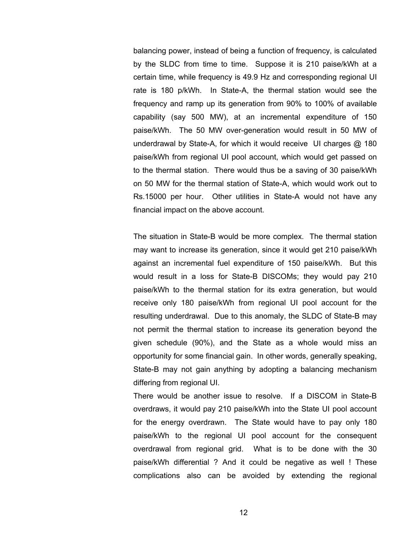balancing power, instead of being a function of frequency, is calculated by the SLDC from time to time. Suppose it is 210 paise/kWh at a certain time, while frequency is 49.9 Hz and corresponding regional UI rate is 180 p/kWh. In State-A, the thermal station would see the frequency and ramp up its generation from 90% to 100% of available capability (say 500 MW), at an incremental expenditure of 150 paise/kWh. The 50 MW over-generation would result in 50 MW of underdrawal by State-A, for which it would receive UI charges @ 180 paise/kWh from regional UI pool account, which would get passed on to the thermal station. There would thus be a saving of 30 paise/kWh on 50 MW for the thermal station of State-A, which would work out to Rs.15000 per hour. Other utilities in State-A would not have any financial impact on the above account.

The situation in State-B would be more complex. The thermal station may want to increase its generation, since it would get 210 paise/kWh against an incremental fuel expenditure of 150 paise/kWh. But this would result in a loss for State-B DISCOMs; they would pay 210 paise/kWh to the thermal station for its extra generation, but would receive only 180 paise/kWh from regional UI pool account for the resulting underdrawal. Due to this anomaly, the SLDC of State-B may not permit the thermal station to increase its generation beyond the given schedule (90%), and the State as a whole would miss an opportunity for some financial gain. In other words, generally speaking, State-B may not gain anything by adopting a balancing mechanism differing from regional UI.

There would be another issue to resolve. If a DISCOM in State-B overdraws, it would pay 210 paise/kWh into the State UI pool account for the energy overdrawn. The State would have to pay only 180 paise/kWh to the regional UI pool account for the consequent overdrawal from regional grid. What is to be done with the 30 paise/kWh differential ? And it could be negative as well ! These complications also can be avoided by extending the regional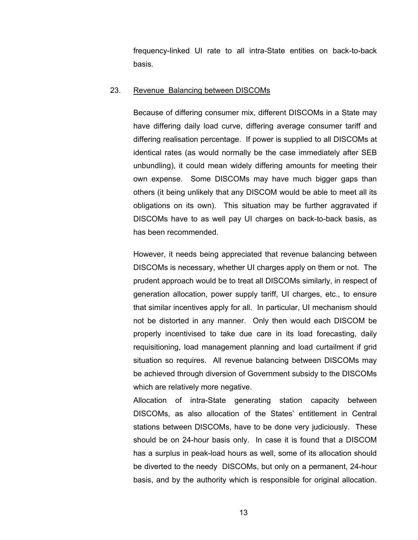frequency-linked UI rate to all intra-State entities on back-to-back basis.

#### 23. Revenue Balancing between DISCOMs

Because of differing consumer mix, different DISCOMs in a State may have differing daily load curve, differing average consumer tariff and differing realisation percentage. If power is supplied to all DISCOMs at identical rates (as would normally be the case immediately after SEB unbundling), it could mean widely differing amounts for meeting their own expense. Some DISCOMs may have much bigger gaps than others (it being unlikely that any DISCOM would be able to meet all its obligations on its own). This situation may be further aggravated if DISCOMs have to as well pay UI charges on back-to-back basis, as has been recommended.

However, it needs being appreciated that revenue balancing between DISCOMs is necessary, whether UI charges apply on them or not. The prudent approach would be to treat all DISCOMs similarly, in respect of generation allocation, power supply tariff, UI charges, etc., to ensure that similar incentives apply for all. In particular, UI mechanism should not be distorted in any manner. Only then would each DISCOM be properly incentivised to take due care in its load forecasting, daily requisitioning, load management planning and load curtailment if grid situation so requires. All revenue balancing between DISCOMs may be achieved through diversion of Government subsidy to the DISCOMs which are relatively more negative.

Allocation of intra-State generating station capacity between DISCOMs, as also allocation of the States' entitlement in Central stations between DISCOMs, have to be done very judiciously. These should be on 24-hour basis only. In case it is found that a DISCOM has a surplus in peak-load hours as well, some of its allocation should be diverted to the needy DISCOMs, but only on a permanent, 24-hour basis, and by the authority which is responsible for original allocation.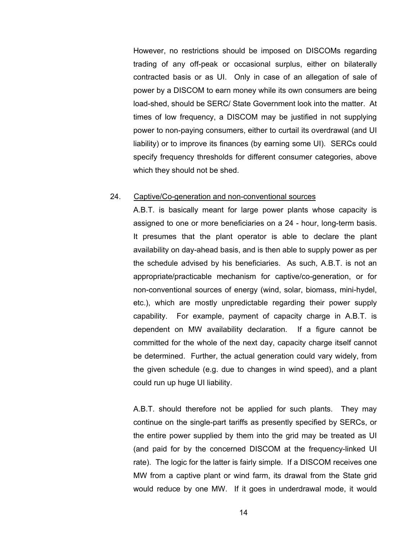However, no restrictions should be imposed on DISCOMs regarding trading of any off-peak or occasional surplus, either on bilaterally contracted basis or as UI. Only in case of an allegation of sale of power by a DISCOM to earn money while its own consumers are being load-shed, should be SERC/ State Government look into the matter. At times of low frequency, a DISCOM may be justified in not supplying power to non-paying consumers, either to curtail its overdrawal (and UI liability) or to improve its finances (by earning some UI). SERCs could specify frequency thresholds for different consumer categories, above which they should not be shed.

#### 24. Captive/Co-generation and non-conventional sources

A.B.T. is basically meant for large power plants whose capacity is assigned to one or more beneficiaries on a 24 - hour, long-term basis. It presumes that the plant operator is able to declare the plant availability on day-ahead basis, and is then able to supply power as per the schedule advised by his beneficiaries. As such, A.B.T. is not an appropriate/practicable mechanism for captive/co-generation, or for non-conventional sources of energy (wind, solar, biomass, mini-hydel, etc.), which are mostly unpredictable regarding their power supply capability. For example, payment of capacity charge in A.B.T. is dependent on MW availability declaration. If a figure cannot be committed for the whole of the next day, capacity charge itself cannot be determined. Further, the actual generation could vary widely, from the given schedule (e.g. due to changes in wind speed), and a plant could run up huge UI liability.

A.B.T. should therefore not be applied for such plants. They may continue on the single-part tariffs as presently specified by SERCs, or the entire power supplied by them into the grid may be treated as UI (and paid for by the concerned DISCOM at the frequency-linked UI rate). The logic for the latter is fairly simple. If a DISCOM receives one MW from a captive plant or wind farm, its drawal from the State grid would reduce by one MW. If it goes in underdrawal mode, it would